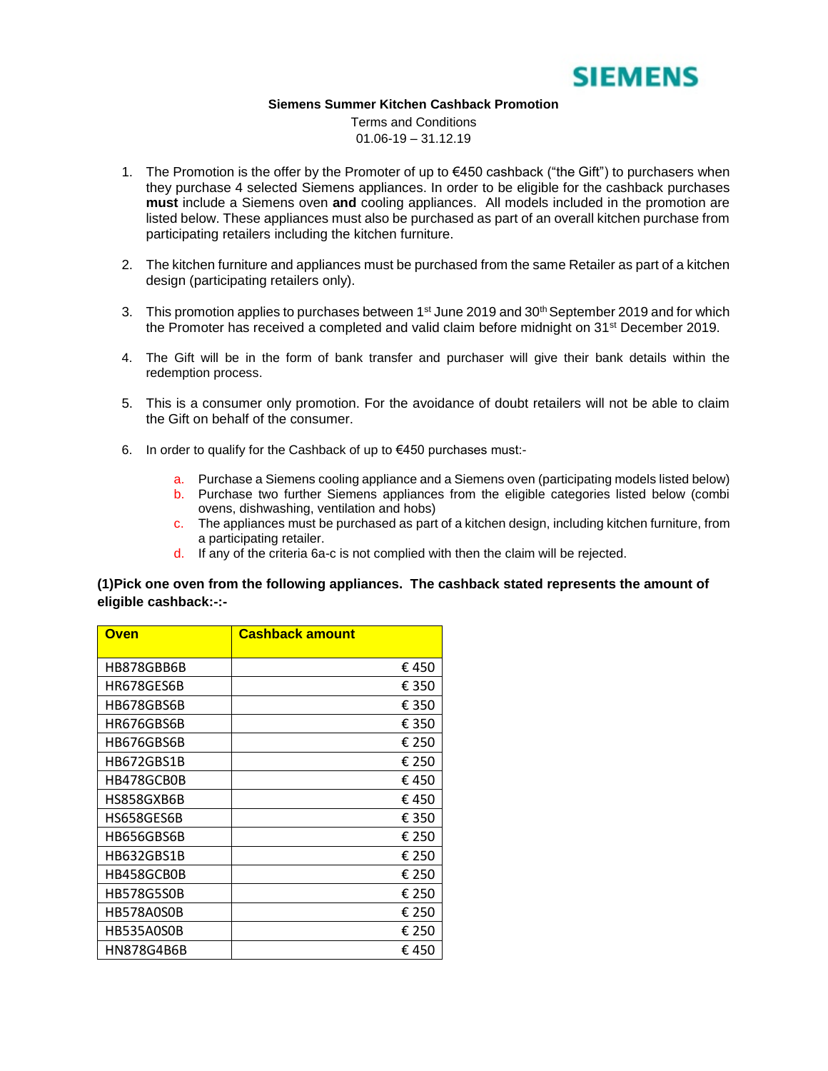

#### **Siemens Summer Kitchen Cashback Promoti[on](http://www.google.co.uk/url?sa=i&rct=j&q=&esrc=s&frm=1&source=images&cd=&cad=rja&uact=8&docid=jJ908-m1vVitgM&tbnid=XE8IblNKaQRvbM:&ved=0CAUQjRw&url=http://www.gokeyless.com/product/1693/5/bosch-wz20-vti220v052-ir-bullet-camera&ei=_zsEVLOCLIH5yQOz7YCQAg&bvm=bv.74115972,d.bGQ&psig=AFQjCNEbjXnIj-v2z6mHUnNqdr-j1zIcRA&ust=1409650009217238)**

Terms and Conditions  $01.06 - 19 - 31.12.19$ 

- 1. The Promotion is the offer by the Promoter of up to  $\epsilon$ 450 cashback ("the Gift") to purchasers when they purchase 4 selected Siemens appliances. In order to be eligible for the cashback purchases **must** include a Siemens oven **and** cooling appliances. All models included in the promotion are listed below. These appliances must also be purchased as part of an overall kitchen purchase from participating retailers including the kitchen furniture.
- 2. The kitchen furniture and appliances must be purchased from the same Retailer as part of a kitchen design (participating retailers only).
- 3. This promotion applies to purchases between 1<sup>st</sup> June 2019 and 30<sup>th</sup> September 2019 and for which the Promoter has received a completed and valid claim before midnight on 31<sup>st</sup> December 2019.
- 4. The Gift will be in the form of bank transfer and purchaser will give their bank details within the redemption process.
- 5. This is a consumer only promotion. For the avoidance of doubt retailers will not be able to claim the Gift on behalf of the consumer.
- 6. In order to qualify for the Cashback of up to €450 purchases must:
	- a. Purchase a Siemens cooling appliance and a Siemens oven (participating models listed below)
	- b. Purchase two further Siemens appliances from the eligible categories listed below (combi ovens, dishwashing, ventilation and hobs)
	- c. The appliances must be purchased as part of a kitchen design, including kitchen furniture, from a participating retailer.
	- d. If any of the criteria 6a-c is not complied with then the claim will be rejected.

### **(1)Pick one oven from the following appliances. The cashback stated represents the amount of eligible cashback:-:-**

| Oven              | <b>Cashback amount</b> |
|-------------------|------------------------|
| HB878GBB6B        | € 450                  |
| HR678GES6B        | € 350                  |
| HB678GBS6B        | € 350                  |
| HR676GBS6B        | € 350                  |
| HB676GBS6B        | € 250                  |
| HB672GBS1B        | € 250                  |
| HB478GCB0B        | € 450                  |
| HS858GXB6B        | € 450                  |
| HS658GES6B        | € 350                  |
| HB656GBS6B        | € 250                  |
| HB632GBS1B        | € 250                  |
| HB458GCB0B        | € 250                  |
| <b>HB578G5S0B</b> | € 250                  |
| HB578A0S0B        | € 250                  |
| HB535A0S0B        | € 250                  |
| HN878G4B6B        | €450                   |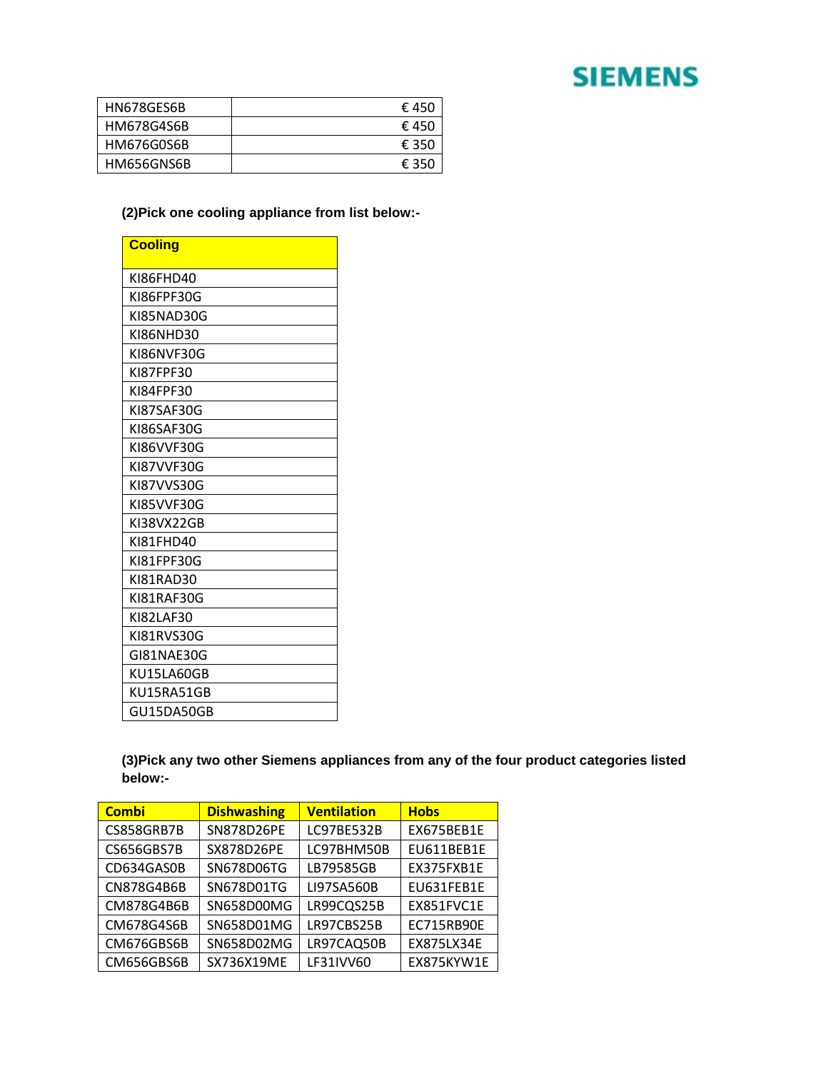## **SIEMENS**

| HN678GES6B | € 450 |
|------------|-------|
| HM678G4S6B | € 450 |
| HM676G0S6B | € 350 |
| HM656GNS6B | € 350 |

### **(2)Pick one cooling appliance from list below:-**

| <b>Cooling</b> |
|----------------|
| KI86FHD40      |
| KI86FPF30G     |
| KI85NAD30G     |
| KI86NHD30      |
| KI86NVF30G     |
| KI87FPF30      |
| KI84FPF30      |
| KI87SAF30G     |
| KI86SAF30G     |
| KI86VVF30G     |
| KI87VVF30G     |
| KI87VVS30G     |
| KI85VVF30G     |
| KI38VX22GB     |
| KI81FHD40      |
| KI81FPF30G     |
| KI81RAD30      |
| KI81RAF30G     |
| KI82LAF30      |
| KI81RVS30G     |
| GI81NAE30G     |
| KU15LA60GB     |
| KU15RA51GB     |
| GU15DA50GB     |

**(3)Pick any two other Siemens appliances from any of the four product categories listed below:-**

| <b>Combi</b> | <b>Dishwashing</b> | <b>Ventilation</b> | <b>Hobs</b> |
|--------------|--------------------|--------------------|-------------|
| CS858GRB7B   | SN878D26PE         | LC97BE532B         | EX675BEB1E  |
| CS656GBS7B   | SX878D26PE         | LC97BHM50B         | EU611BEB1E  |
| CD634GAS0B   | SN678D06TG         | LB79585GB          | EX375FXB1E  |
| CN878G4B6B   | SN678D01TG         | LI97SA560B         | EU631FEB1E  |
| CM878G4B6B   | SN658D00MG         | LR99CQS25B         | EX851FVC1E  |
| CM678G4S6B   | SN658D01MG         | LR97CBS25B         | EC715RB90E  |
| CM676GBS6B   | SN658D02MG         | LR97CAQ50B         | EX875LX34E  |
| CM656GBS6B   | SX736X19ME         | LF31IVV60          | EX875KYW1E  |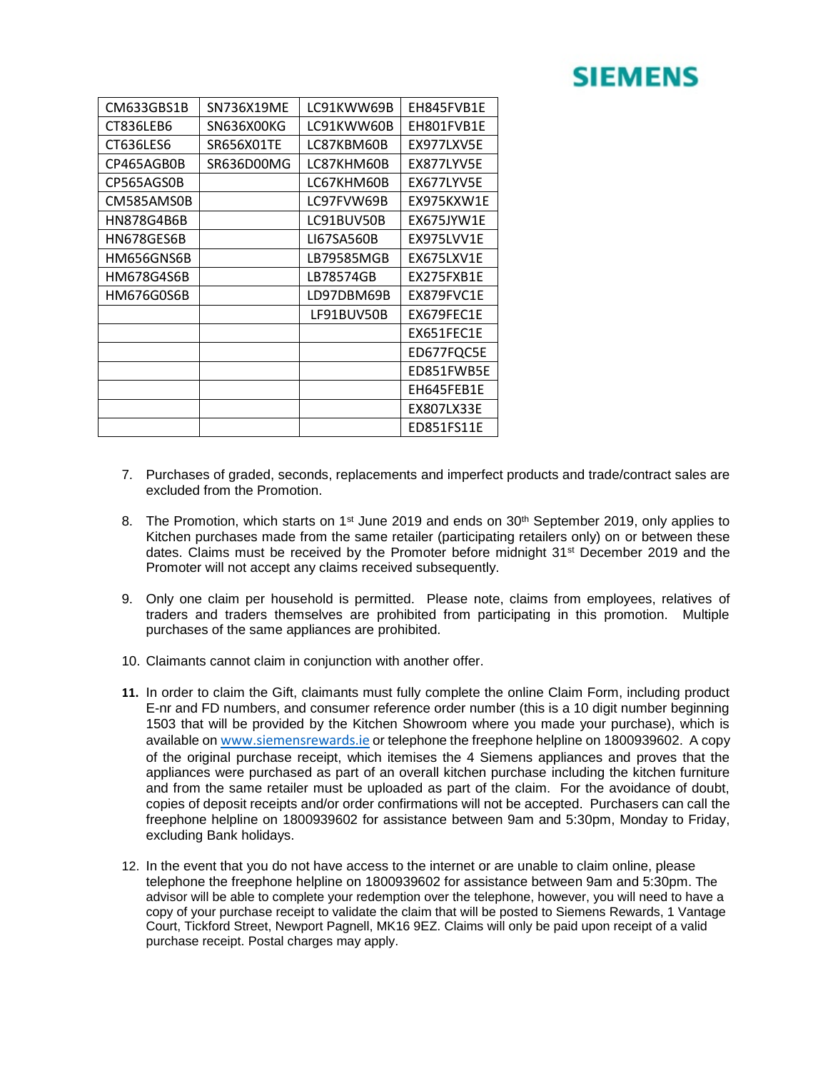# **SIEMENS**

| CM633GBS1B | SN736X19ME | LC91KWW69B | EH845FVB1E |
|------------|------------|------------|------------|
| CT836LEB6  | SN636X00KG | LC91KWW60B | EH801FVB1E |
| CT636LES6  | SR656X01TE | LC87KBM60B | EX977LXV5E |
| CP465AGB0B | SR636D00MG | LC87KHM60B | EX877LYV5E |
| CP565AGS0B |            | LC67KHM60B | EX677LYV5E |
| CM585AMS0B |            | LC97FVW69B | EX975KXW1E |
| HN878G4B6B |            | LC91BUV50B | EX675JYW1E |
| HN678GES6B |            | LI67SA560B | EX975LVV1E |
| HM656GNS6B |            | LB79585MGB | EX675LXV1E |
| HM678G4S6B |            | LB78574GB  | EX275FXB1E |
| HM676G0S6B |            | LD97DBM69B | EX879FVC1E |
|            |            | LF91BUV50B | EX679FEC1E |
|            |            |            | EX651FEC1E |
|            |            |            | ED677FQC5E |
|            |            |            | ED851FWB5E |
|            |            |            | EH645FEB1E |
|            |            |            | EX807LX33E |
|            |            |            | ED851FS11E |

- 7. Purchases of graded, seconds, replacements and imperfect products and trade/contract sales are excluded from the Promotion.
- 8. The Promotion, which starts on 1<sup>st</sup> June 2019 and ends on 30<sup>th</sup> September 2019, only applies to Kitchen purchases made from the same retailer (participating retailers only) on or between these dates. Claims must be received by the Promoter before midnight 31<sup>st</sup> December 2019 and the Promoter will not accept any claims received subsequently.
- 9. Only one claim per household is permitted. Please note, claims from employees, relatives of traders and traders themselves are prohibited from participating in this promotion. Multiple purchases of the same appliances are prohibited.
- 10. Claimants cannot claim in conjunction with another offer.
- **11.** In order to claim the Gift, claimants must fully complete the online Claim Form, including product E-nr and FD numbers, and consumer reference order number (this is a 10 digit number beginning 1503 that will be provided by the Kitchen Showroom where you made your purchase), which is available on [www.siemensrewards.ie](http://www.siemensrewards.ie/) or telephone the freephone helpline on 1800939602. A copy of the original purchase receipt, which itemises the 4 Siemens appliances and proves that the appliances were purchased as part of an overall kitchen purchase including the kitchen furniture and from the same retailer must be uploaded as part of the claim. For the avoidance of doubt, copies of deposit receipts and/or order confirmations will not be accepted. Purchasers can call the freephone helpline on 1800939602 for assistance between 9am and 5:30pm, Monday to Friday, excluding Bank holidays.
- 12. In the event that you do not have access to the internet or are unable to claim online, please telephone the freephone helpline on 1800939602 for assistance between 9am and 5:30pm. The advisor will be able to complete your redemption over the telephone, however, you will need to have a copy of your purchase receipt to validate the claim that will be posted to Siemens Rewards, 1 Vantage Court, Tickford Street, Newport Pagnell, MK16 9EZ. Claims will only be paid upon receipt of a valid purchase receipt. Postal charges may apply.